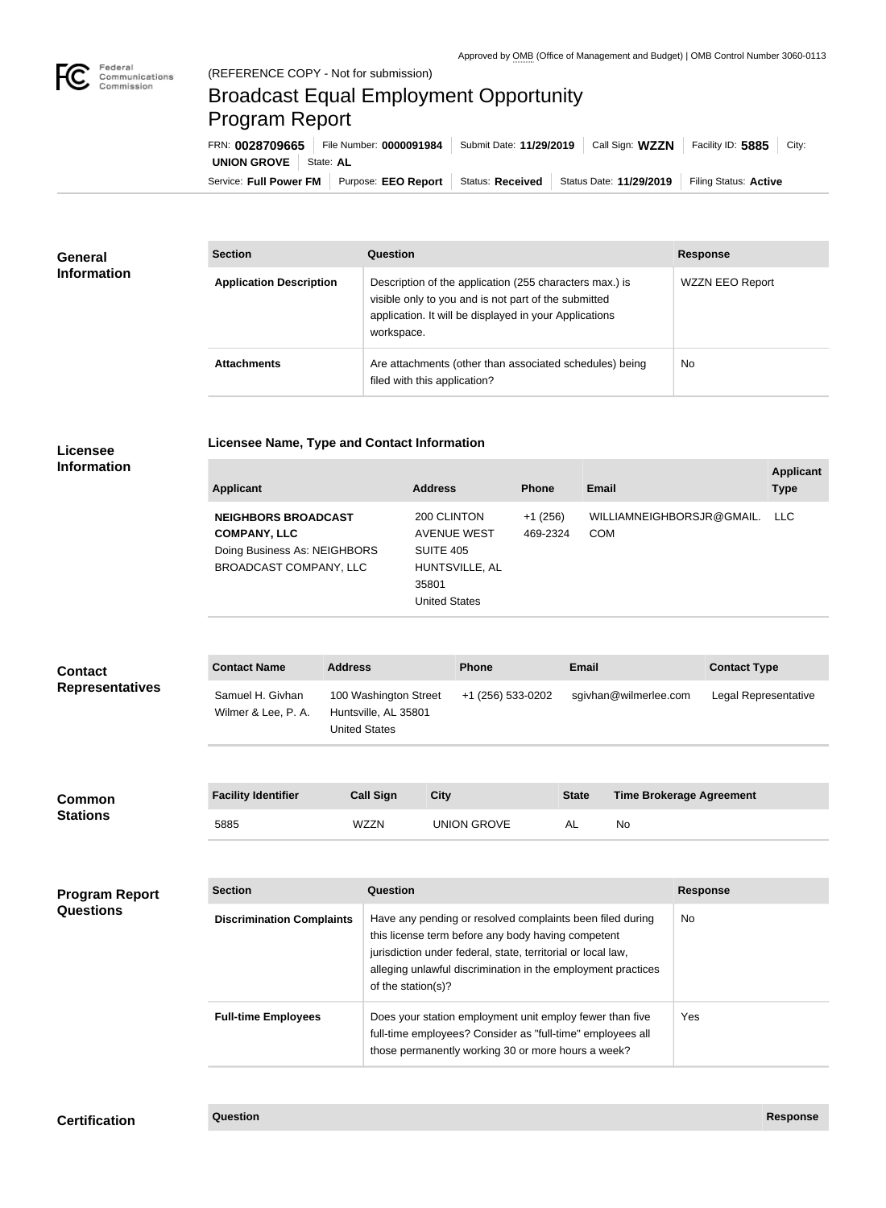

## Broadcast Equal Employment Opportunity Program Report

**Licensee Name, Type and Contact Information**

Service: Full Power FM | Purpose: EEO Report | Status: Received | Status Date: 11/29/2019 | Filing Status: Active **UNION GROVE** State: AL FRN: **0028709665** File Number: **0000091984** Submit Date: **11/29/2019** Call Sign: **WZZN** Facility ID: **5885** City:

| <b>General</b><br><b>Information</b> | <b>Section</b>                 | Question                                                                                                                                                                                | <b>Response</b> |  |
|--------------------------------------|--------------------------------|-----------------------------------------------------------------------------------------------------------------------------------------------------------------------------------------|-----------------|--|
|                                      | <b>Application Description</b> | Description of the application (255 characters max.) is<br>visible only to you and is not part of the submitted<br>application. It will be displayed in your Applications<br>workspace. | WZZN EEO Report |  |
|                                      | <b>Attachments</b>             | Are attachments (other than associated schedules) being<br>filed with this application?                                                                                                 | <b>No</b>       |  |

## **Licensee Information**

| <b>Applicant</b>                                                                                            | <b>Address</b>                                                                             | <b>Phone</b>          | Email                                   | <b>Applicant</b><br><b>Type</b> |
|-------------------------------------------------------------------------------------------------------------|--------------------------------------------------------------------------------------------|-----------------------|-----------------------------------------|---------------------------------|
| <b>NEIGHBORS BROADCAST</b><br><b>COMPANY, LLC</b><br>Doing Business As: NEIGHBORS<br>BROADCAST COMPANY, LLC | 200 CLINTON<br>AVENUE WEST<br>SUITE 405<br>HUNTSVILLE, AL<br>35801<br><b>United States</b> | $+1(256)$<br>469-2324 | WILLIAMNEIGHBORSJR@GMAIL.<br><b>COM</b> | LLC.                            |

| <b>Contact</b><br><b>Representatives</b>  | <b>Contact Name</b>                                    | <b>Address</b> |                                                                       |                                                                                                                                                                                                                                                 | <b>Phone</b>                                                                                                                                                                 | <b>Email</b> |                                 |                 | <b>Contact Type</b>  |
|-------------------------------------------|--------------------------------------------------------|----------------|-----------------------------------------------------------------------|-------------------------------------------------------------------------------------------------------------------------------------------------------------------------------------------------------------------------------------------------|------------------------------------------------------------------------------------------------------------------------------------------------------------------------------|--------------|---------------------------------|-----------------|----------------------|
|                                           | Samuel H. Givhan<br>Wilmer & Lee, P. A.                |                | 100 Washington Street<br>Huntsville, AL 35801<br><b>United States</b> |                                                                                                                                                                                                                                                 | +1 (256) 533-0202                                                                                                                                                            |              | sgivhan@wilmerlee.com           |                 | Legal Representative |
| Common<br><b>Stations</b>                 | <b>Facility Identifier</b>                             |                | <b>Call Sign</b>                                                      | <b>City</b>                                                                                                                                                                                                                                     |                                                                                                                                                                              | <b>State</b> | <b>Time Brokerage Agreement</b> |                 |                      |
|                                           | 5885                                                   |                | <b>WZZN</b>                                                           |                                                                                                                                                                                                                                                 | <b>UNION GROVE</b>                                                                                                                                                           | <b>AL</b>    | No                              |                 |                      |
|                                           |                                                        |                |                                                                       |                                                                                                                                                                                                                                                 |                                                                                                                                                                              |              |                                 |                 |                      |
| <b>Program Report</b><br><b>Questions</b> | <b>Section</b>                                         |                | Question                                                              |                                                                                                                                                                                                                                                 |                                                                                                                                                                              |              |                                 | <b>Response</b> |                      |
|                                           | <b>Discrimination Complaints</b><br>of the station(s)? |                |                                                                       | Have any pending or resolved complaints been filed during<br>this license term before any body having competent<br>jurisdiction under federal, state, territorial or local law,<br>alleging unlawful discrimination in the employment practices |                                                                                                                                                                              |              | No                              |                 |                      |
|                                           | <b>Full-time Employees</b>                             |                |                                                                       |                                                                                                                                                                                                                                                 | Does your station employment unit employ fewer than five<br>full-time employees? Consider as "full-time" employees all<br>those permanently working 30 or more hours a week? |              |                                 | Yes             |                      |